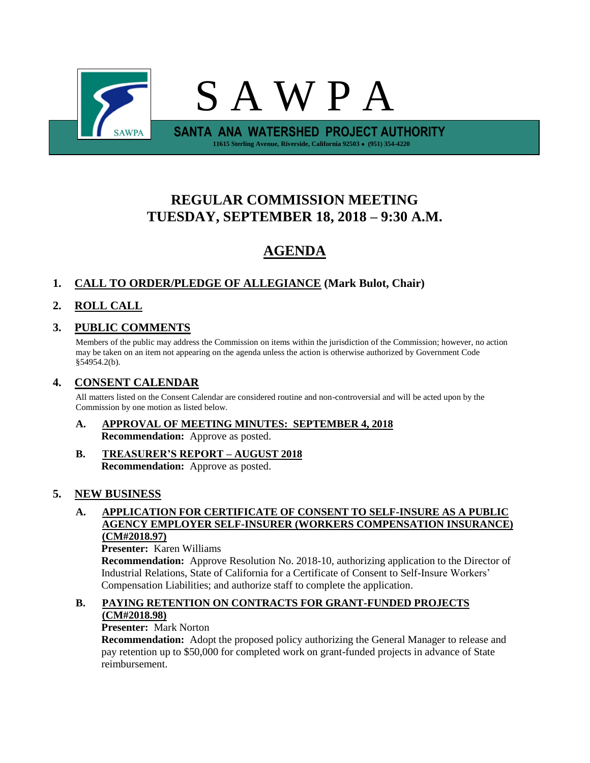

# **REGULAR COMMISSION MEETING TUESDAY, SEPTEMBER 18, 2018 – 9:30 A.M.**

# **AGENDA**

# **1. CALL TO ORDER/PLEDGE OF ALLEGIANCE (Mark Bulot, Chair)**

# **2. ROLL CALL**

# **3. PUBLIC COMMENTS**

Members of the public may address the Commission on items within the jurisdiction of the Commission; however, no action may be taken on an item not appearing on the agenda unless the action is otherwise authorized by Government Code §54954.2(b).

# **4. CONSENT CALENDAR**

All matters listed on the Consent Calendar are considered routine and non-controversial and will be acted upon by the Commission by one motion as listed below.

- **A. APPROVAL OF MEETING MINUTES: SEPTEMBER 4, 2018 Recommendation:** Approve as posted.
- **B. TREASURER'S REPORT – AUGUST 2018 Recommendation:** Approve as posted.

# **5. NEW BUSINESS**

#### **A. APPLICATION FOR CERTIFICATE OF CONSENT TO SELF-INSURE AS A PUBLIC AGENCY EMPLOYER SELF-INSURER (WORKERS COMPENSATION INSURANCE) (CM#2018.97)**

#### **Presenter:** Karen Williams

**Recommendation:** Approve Resolution No. 2018-10, authorizing application to the Director of Industrial Relations, State of California for a Certificate of Consent to Self-Insure Workers' Compensation Liabilities; and authorize staff to complete the application.

#### **B. PAYING RETENTION ON CONTRACTS FOR GRANT-FUNDED PROJECTS (CM#2018.98)**

# **Presenter:** Mark Norton

**Recommendation:** Adopt the proposed policy authorizing the General Manager to release and pay retention up to \$50,000 for completed work on grant-funded projects in advance of State reimbursement.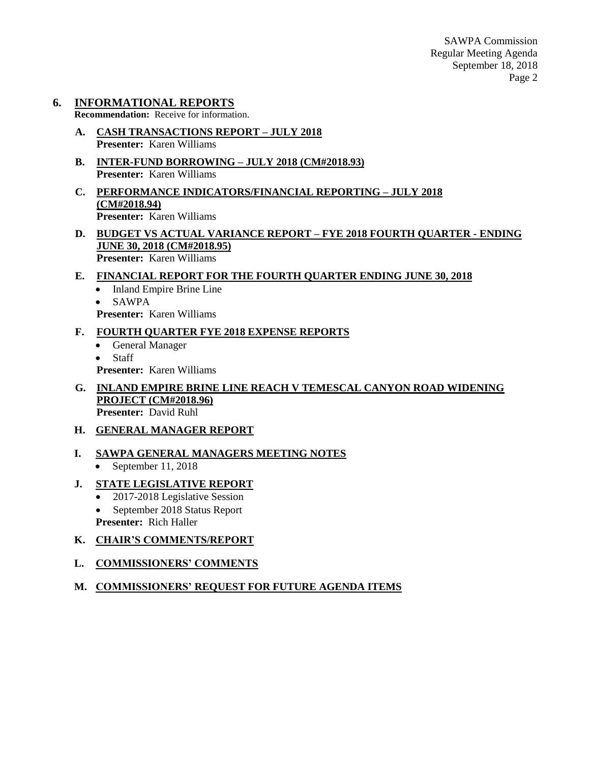SAWPA Commission Regular Meeting Agenda September 18, 2018 Page 2

### **6. INFORMATIONAL REPORTS**

**Recommendation:** Receive for information.

- **A. CASH TRANSACTIONS REPORT – JULY 2018 Presenter:** Karen Williams
- **B. INTER-FUND BORROWING – JULY 2018 (CM#2018.93) Presenter:** Karen Williams
- **C. PERFORMANCE INDICATORS/FINANCIAL REPORTING – JULY 2018 (CM#2018.94) Presenter:** Karen Williams
- **D. BUDGET VS ACTUAL VARIANCE REPORT – FYE 2018 FOURTH QUARTER - ENDING JUNE 30, 2018 (CM#2018.95) Presenter:** Karen Williams

#### **E. FINANCIAL REPORT FOR THE FOURTH QUARTER ENDING JUNE 30, 2018**

- Inland Empire Brine Line
- SAWPA
- **Presenter:** Karen Williams
- **F. FOURTH QUARTER FYE 2018 EXPENSE REPORTS**
	- General Manager
	- Staff

**Presenter:** Karen Williams

**G. INLAND EMPIRE BRINE LINE REACH V TEMESCAL CANYON ROAD WIDENING PROJECT (CM#2018.96) Presenter:** David Ruhl

#### **H. GENERAL MANAGER REPORT**

#### **I. SAWPA GENERAL MANAGERS MEETING NOTES**

• September 11, 2018

### **J. STATE LEGISLATIVE REPORT**

- 2017-2018 Legislative Session
- September 2018 Status Report
- **Presenter:** Rich Haller

### **K. CHAIR'S COMMENTS/REPORT**

#### **L. COMMISSIONERS' COMMENTS**

#### **M. COMMISSIONERS' REQUEST FOR FUTURE AGENDA ITEMS**